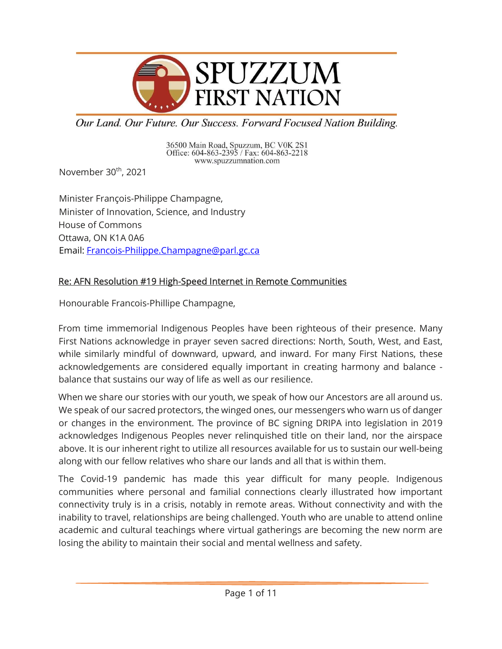

Our Land. Our Future. Our Success. Forward Focused Nation Building.

36500 Main Road, Spuzzum, BC V0K 2S1<br>Office: 604-863-2395 / Fax: 604-863-2218 www.spuzzumnation.com

November 30<sup>th</sup>, 2021

Minister François-Philippe Champagne, Minister of Innovation, Science, and Industry House of Commons Ottawa, ON K1A 0A6 Email: Francois-Philippe.Champagne@parl.gc.ca

# Re: AFN Resolution #19 High-Speed Internet in Remote Communities

Honourable Francois-Phillipe Champagne,

From time immemorial Indigenous Peoples have been righteous of their presence. Many First Nations acknowledge in prayer seven sacred directions: North, South, West, and East, while similarly mindful of downward, upward, and inward. For many First Nations, these acknowledgements are considered equally important in creating harmony and balance balance that sustains our way of life as well as our resilience.

When we share our stories with our youth, we speak of how our Ancestors are all around us. We speak of our sacred protectors, the winged ones, our messengers who warn us of danger or changes in the environment. The province of BC signing DRIPA into legislation in 2019 acknowledges Indigenous Peoples never relinquished title on their land, nor the airspace above. It is our inherent right to utilize all resources available for us to sustain our well-being along with our fellow relatives who share our lands and all that is within them.

The Covid-19 pandemic has made this year difficult for many people. Indigenous communities where personal and familial connections clearly illustrated how important connectivity truly is in a crisis, notably in remote areas. Without connectivity and with the inability to travel, relationships are being challenged. Youth who are unable to attend online academic and cultural teachings where virtual gatherings are becoming the new norm are losing the ability to maintain their social and mental wellness and safety.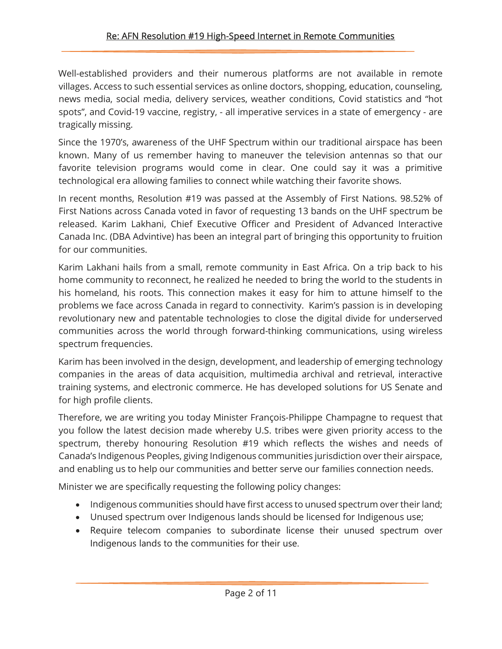Well-established providers and their numerous platforms are not available in remote villages. Access to such essential services as online doctors, shopping, education, counseling, news media, social media, delivery services, weather conditions, Covid statistics and "hot spots", and Covid-19 vaccine, registry, - all imperative services in a state of emergency - are tragically missing.

Since the 1970's, awareness of the UHF Spectrum within our traditional airspace has been known. Many of us remember having to maneuver the television antennas so that our favorite television programs would come in clear. One could say it was a primitive technological era allowing families to connect while watching their favorite shows.

In recent months, Resolution #19 was passed at the Assembly of First Nations. 98.52% of First Nations across Canada voted in favor of requesting 13 bands on the UHF spectrum be released. Karim Lakhani, Chief Executive Officer and President of Advanced Interactive Canada Inc. (DBA Advintive) has been an integral part of bringing this opportunity to fruition for our communities.

Karim Lakhani hails from a small, remote community in East Africa. On a trip back to his home community to reconnect, he realized he needed to bring the world to the students in his homeland, his roots. This connection makes it easy for him to attune himself to the problems we face across Canada in regard to connectivity. Karim's passion is in developing revolutionary new and patentable technologies to close the digital divide for underserved communities across the world through forward-thinking communications, using wireless spectrum frequencies.

Karim has been involved in the design, development, and leadership of emerging technology companies in the areas of data acquisition, multimedia archival and retrieval, interactive training systems, and electronic commerce. He has developed solutions for US Senate and for high profile clients.

Therefore, we are writing you today Minister François-Philippe Champagne to request that you follow the latest decision made whereby U.S. tribes were given priority access to the spectrum, thereby honouring Resolution #19 which reflects the wishes and needs of Canada's Indigenous Peoples, giving Indigenous communities jurisdiction over their airspace, and enabling us to help our communities and better serve our families connection needs.

Minister we are specifically requesting the following policy changes:

- Indigenous communities should have first access to unused spectrum over their land;
- Unused spectrum over Indigenous lands should be licensed for Indigenous use;
- Require telecom companies to subordinate license their unused spectrum over Indigenous lands to the communities for their use.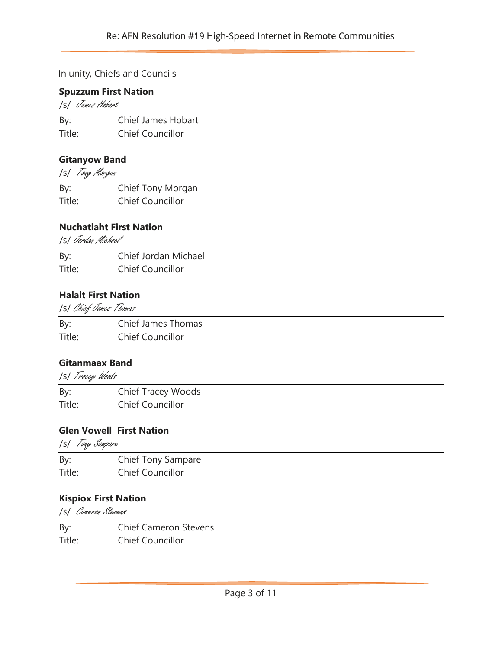## In unity, Chiefs and Councils

#### Spuzzum First Nation

/s/ James Hobart

| By:    | Chief James Hobart |
|--------|--------------------|
| Title: | Chief Councillor   |

## Gitanyow Band

/s/ Tony Morgan

| By:    | Chief Tony Morgan       |
|--------|-------------------------|
| Title: | <b>Chief Councillor</b> |

### Nuchatlaht First Nation

/s/ Jordan Michael

| By:    | Chief Jordan Michael    |
|--------|-------------------------|
| Title: | <b>Chief Councillor</b> |

### Halalt First Nation

/s/ Chief James Thomas

| By:    | Chief James Thomas      |
|--------|-------------------------|
| Title: | <b>Chief Councillor</b> |

### Gitanmaax Band

/s/ Tracey Woods

By: Chief Tracey Woods Title: Chief Councillor

# Glen Vowell First Nation

/s/ Tony Sampare

| By:    | <b>Chief Tony Sampare</b> |
|--------|---------------------------|
| Title: | <b>Chief Councillor</b>   |

### Kispiox First Nation

/s/ Cameron Stevens

By: Chief Cameron Stevens Title: Chief Councillor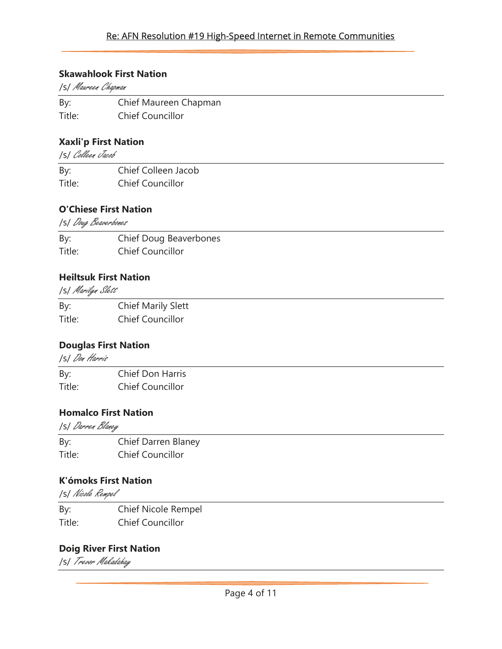### Re: AFN Resolution #19 High-Speed Internet in Remote Communities

#### Skawahlook First Nation

/s/ Maureen Chapman

By: Chief Maureen Chapman Title: Chief Councillor

#### Xaxli'p First Nation

/s/ Colleen Jacob

| By:    | Chief Colleen Jacob     |
|--------|-------------------------|
| Title: | <b>Chief Councillor</b> |

### O'Chiese First Nation

/s/ Doug Beaverbones

| By:    | Chief Doug Beaverbones  |
|--------|-------------------------|
| Title: | <b>Chief Councillor</b> |

### Heiltsuk First Nation

/s/ Marilyn Slett

| By:    | <b>Chief Marily Slett</b> |
|--------|---------------------------|
| Title: | <b>Chief Councillor</b>   |

### Douglas First Nation

/s/ Don Harris

| By:    | <b>Chief Don Harris</b> |
|--------|-------------------------|
| Title: | <b>Chief Councillor</b> |

### Homalco First Nation

/s/ Darren Blaney

| By:    | Chief Darren Blaney     |
|--------|-------------------------|
| Title: | <b>Chief Councillor</b> |

### K'ómoks First Nation

/s/ Nicole Rempel

By: Chief Nicole Rempel Title: Chief Councillor

### Doig River First Nation

/s/ Trevor Makadahay

<u> 1989 - Johann Stoff, fransk politik (d. 1989)</u>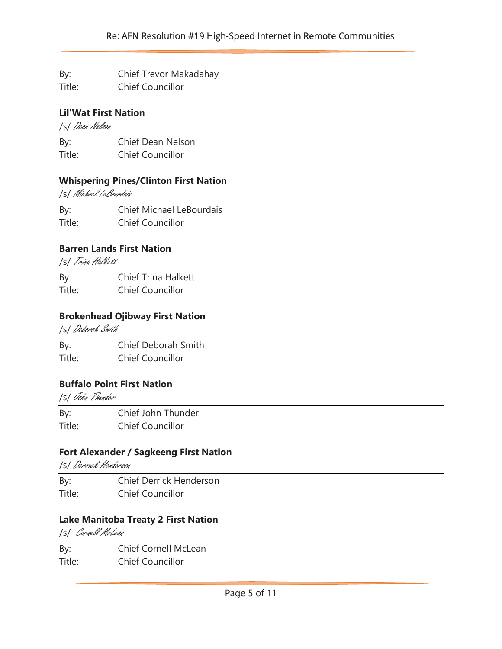By: Chief Trevor Makadahay

Title: Chief Councillor

# Lil'Wat First Nation

/s/ Dean Nelson

By: Chief Dean Nelson Title: Chief Councillor

# Whispering Pines/Clinton First Nation

/s/ Michael LeBourdais

By: Chief Michael LeBourdais Title: Chief Councillor

# Barren Lands First Nation

/s/ Trina Halkett

By: Chief Trina Halkett Title: Chief Councillor

# Brokenhead Ojibway First Nation

/s/ Deborah Smith

By: Chief Deborah Smith Title: Chief Councillor

# Buffalo Point First Nation

/s/ John Thunder

By: Chief John Thunder Title: Chief Councillor

# Fort Alexander / Sagkeeng First Nation

/s/ Derrick Henderson

By: Chief Derrick Henderson Title: Chief Councillor

# Lake Manitoba Treaty 2 First Nation

/s/ Cornell McLean

By: Chief Cornell McLean Title: Chief Councillor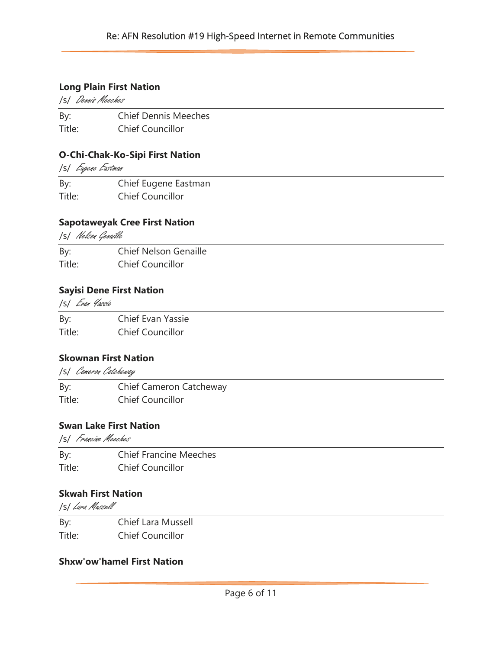### Long Plain First Nation

/s/ Dennis Meeches

By: Chief Dennis Meeches Title: Chief Councillor

## O-Chi-Chak-Ko-Sipi First Nation

/s/ Eugene Eastman

| By:    | Chief Eugene Eastman    |
|--------|-------------------------|
| Title: | <b>Chief Councillor</b> |

### Sapotaweyak Cree First Nation

/s/ Nelson Genaille

By: Chief Nelson Genaille Title: Chief Councillor

## Sayisi Dene First Nation

/s/ Evan Yassie

By: Chief Evan Yassie Title: Chief Councillor

### Skownan First Nation

/s/ Cameron Catcheway

By: Chief Cameron Catcheway Title: Chief Councillor

## Swan Lake First Nation

/s/ Francine Meeches

By: Chief Francine Meeches Title: Chief Councillor

# Skwah First Nation

/s/ Lara Mussell

By: Chief Lara Mussell Title: Chief Councillor

### Shxw'ow'hamel First Nation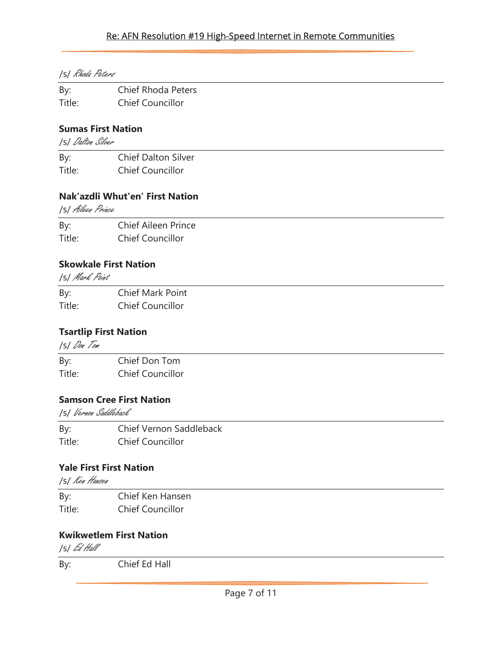## Re: AFN Resolution #19 High-Speed Internet in Remote Communities

|  |  | <b>ISI</b> Rhoda Peters |
|--|--|-------------------------|
|--|--|-------------------------|

| By:    | <b>Chief Rhoda Peters</b> |
|--------|---------------------------|
| Title: | <b>Chief Councillor</b>   |

## Sumas First Nation

/s/ Dalton Silver

| By:    | <b>Chief Dalton Silver</b> |
|--------|----------------------------|
| Title: | <b>Chief Councillor</b>    |

## Nak'azdli Whut'en' First Nation

/s/ Aileen Prince

| By:    | <b>Chief Aileen Prince</b> |
|--------|----------------------------|
| Title: | <b>Chief Councillor</b>    |
|        |                            |

## Skowkale First Nation

/s/ Mark Point

| By:    | Chief Mark Point        |
|--------|-------------------------|
| Title: | <b>Chief Councillor</b> |

# Tsartlip First Nation

 /s/ Don Tom By: Chief Don Tom Title: Chief Councillor

# Samson Cree First Nation

/s/ Vernon Saddleback

By: Chief Vernon Saddleback Title: Chief Councillor

# Yale First First Nation

/s/ Ken Hansen

| By:    | Chief Ken Hansen        |
|--------|-------------------------|
| Title: | <b>Chief Councillor</b> |

# Kwikwetlem First Nation

/s/ Ed Hall

By: Chief Ed Hall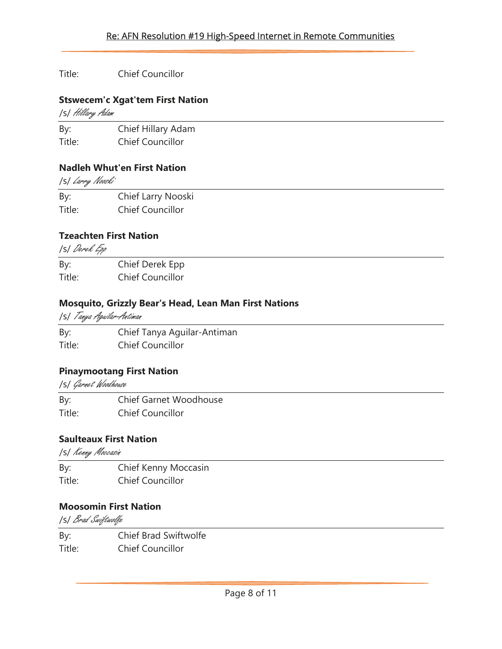## Title: Chief Councillor

## Stswecem'c Xgat'tem First Nation

/s/ Hillary Adam

By: Chief Hillary Adam Title: Chief Councillor

## Nadleh Whut'en First Nation

/s/ Larry Nooski

By: Chief Larry Nooski Title: Chief Councillor

# Tzeachten First Nation

/s/ Derek Epp

By: Chief Derek Epp Title: Chief Councillor

# Mosquito, Grizzly Bear's Head, Lean Man First Nations

/s/ Tanya Aguilar-Antiman

By: Chief Tanya Aguilar-Antiman Title: Chief Councillor

# Pinaymootang First Nation

/s/ Garnet Woodhouse

By: Chief Garnet Woodhouse Title: Chief Councillor

# Saulteaux First Nation

/s/ Kenny Moccasin

By: Chief Kenny Moccasin Title: Chief Councillor

# Moosomin First Nation

/s/ Brad Swiftwolfe

By: Chief Brad Swiftwolfe Title: Chief Councillor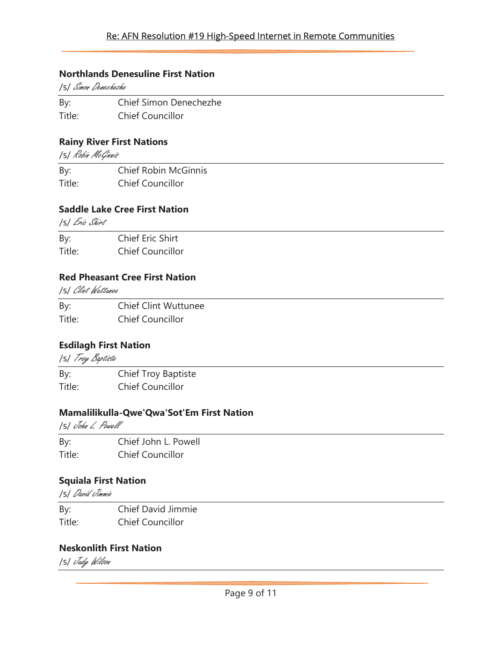### Re: AFN Resolution #19 High-Speed Internet in Remote Communities

#### Northlands Denesuline First Nation

/s/ Simon Denechezhe

By: Chief Simon Denechezhe

Title: Chief Councillor

### Rainy River First Nations

/s/ Robin McGinnis

By: Chief Robin McGinnis Title: Chief Councillor

#### Saddle Lake Cree First Nation

/s/ Eric Shirt

| By:    | Chief Eric Shirt        |
|--------|-------------------------|
| Title: | <b>Chief Councillor</b> |

### Red Pheasant Cree First Nation

/s/ Clint Wuttunee

By: Chief Clint Wuttunee Title: Chief Councillor

# Esdilagh First Nation

/s/ Troy Baptiste

By: Chief Troy Baptiste Title: Chief Councillor

#### Mamalilikulla-Qwe'Qwa'Sot'Em First Nation

/s/ John L. Powell

By: Chief John L. Powell Title: Chief Councillor

### Squiala First Nation

/s/ David Jimmie

By: Chief David Jimmie Title: Chief Councillor

### Neskonlith First Nation

/s/ Judy Wilson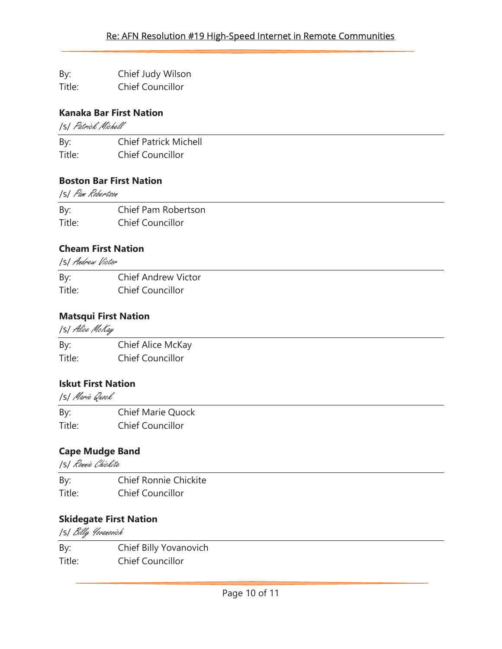By: Chief Judy Wilson

Title: Chief Councillor

# Kanaka Bar First Nation

/s/ Patrick Michell

By: Chief Patrick Michell Title: Chief Councillor

# Boston Bar First Nation

/s/ Pam Robertson

By: Chief Pam Robertson Title: Chief Councillor

# Cheam First Nation

/s/ Andrew Victor

| By:    | <b>Chief Andrew Victor</b> |
|--------|----------------------------|
| Title: | <b>Chief Councillor</b>    |

# Matsqui First Nation

/s/ Alice McKay

| By:    | Chief Alice McKay       |
|--------|-------------------------|
| Title: | <b>Chief Councillor</b> |

# Iskut First Nation

/s/ Marie Quock

By: Chief Marie Quock Title: Chief Councillor

# Cape Mudge Band

/s/ Ronnie Chickite

By: Chief Ronnie Chickite Title: Chief Councillor

# Skidegate First Nation

/s/ Billy Yovanovich

By: Chief Billy Yovanovich Title: Chief Councillor